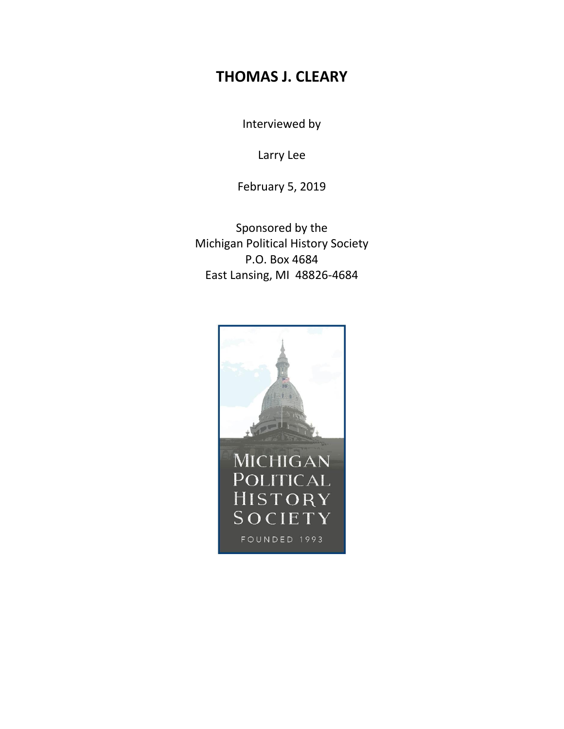## **THOMAS J. CLEARY**

Interviewed by

Larry Lee

February 5, 2019

Sponsored by the Michigan Political History Society P.O. Box 4684 East Lansing, MI 48826-4684

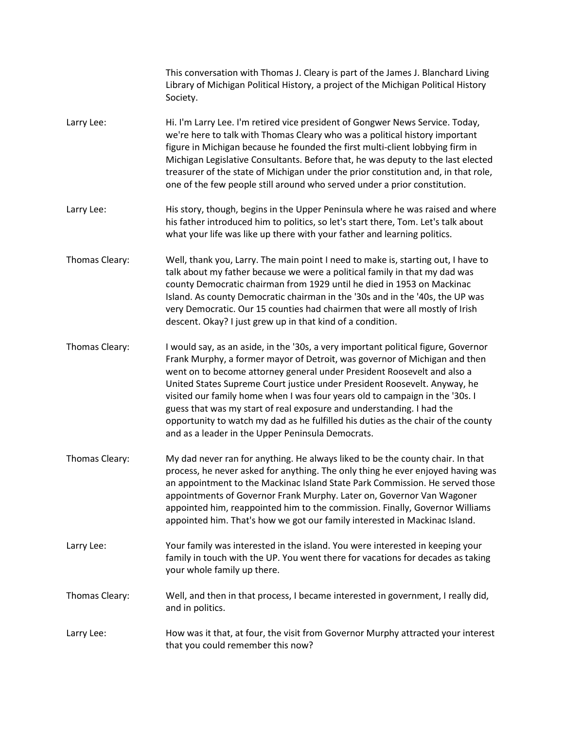|                | This conversation with Thomas J. Cleary is part of the James J. Blanchard Living<br>Library of Michigan Political History, a project of the Michigan Political History<br>Society.                                                                                                                                                                                                                                                                                                                                                                                                                                          |
|----------------|-----------------------------------------------------------------------------------------------------------------------------------------------------------------------------------------------------------------------------------------------------------------------------------------------------------------------------------------------------------------------------------------------------------------------------------------------------------------------------------------------------------------------------------------------------------------------------------------------------------------------------|
| Larry Lee:     | Hi. I'm Larry Lee. I'm retired vice president of Gongwer News Service. Today,<br>we're here to talk with Thomas Cleary who was a political history important<br>figure in Michigan because he founded the first multi-client lobbying firm in<br>Michigan Legislative Consultants. Before that, he was deputy to the last elected<br>treasurer of the state of Michigan under the prior constitution and, in that role,<br>one of the few people still around who served under a prior constitution.                                                                                                                        |
| Larry Lee:     | His story, though, begins in the Upper Peninsula where he was raised and where<br>his father introduced him to politics, so let's start there, Tom. Let's talk about<br>what your life was like up there with your father and learning politics.                                                                                                                                                                                                                                                                                                                                                                            |
| Thomas Cleary: | Well, thank you, Larry. The main point I need to make is, starting out, I have to<br>talk about my father because we were a political family in that my dad was<br>county Democratic chairman from 1929 until he died in 1953 on Mackinac<br>Island. As county Democratic chairman in the '30s and in the '40s, the UP was<br>very Democratic. Our 15 counties had chairmen that were all mostly of Irish<br>descent. Okay? I just grew up in that kind of a condition.                                                                                                                                                     |
| Thomas Cleary: | I would say, as an aside, in the '30s, a very important political figure, Governor<br>Frank Murphy, a former mayor of Detroit, was governor of Michigan and then<br>went on to become attorney general under President Roosevelt and also a<br>United States Supreme Court justice under President Roosevelt. Anyway, he<br>visited our family home when I was four years old to campaign in the '30s. I<br>guess that was my start of real exposure and understanding. I had the<br>opportunity to watch my dad as he fulfilled his duties as the chair of the county<br>and as a leader in the Upper Peninsula Democrats. |
| Thomas Cleary: | My dad never ran for anything. He always liked to be the county chair. In that<br>process, he never asked for anything. The only thing he ever enjoyed having was<br>an appointment to the Mackinac Island State Park Commission. He served those<br>appointments of Governor Frank Murphy. Later on, Governor Van Wagoner<br>appointed him, reappointed him to the commission. Finally, Governor Williams<br>appointed him. That's how we got our family interested in Mackinac Island.                                                                                                                                    |
| Larry Lee:     | Your family was interested in the island. You were interested in keeping your<br>family in touch with the UP. You went there for vacations for decades as taking<br>your whole family up there.                                                                                                                                                                                                                                                                                                                                                                                                                             |
| Thomas Cleary: | Well, and then in that process, I became interested in government, I really did,<br>and in politics.                                                                                                                                                                                                                                                                                                                                                                                                                                                                                                                        |
| Larry Lee:     | How was it that, at four, the visit from Governor Murphy attracted your interest<br>that you could remember this now?                                                                                                                                                                                                                                                                                                                                                                                                                                                                                                       |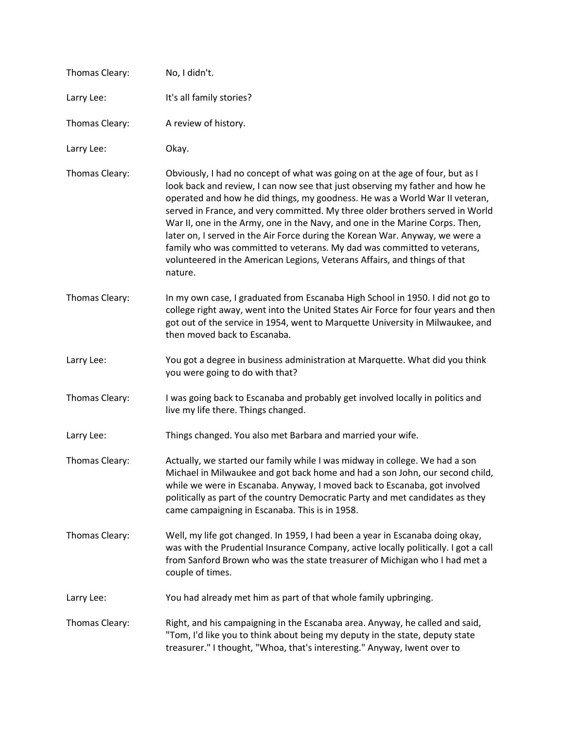| Thomas Cleary: | No, I didn't.                                                                                                                                                                                                                                                                                                                                                                                                                                                                                                                                                                                                                                                    |
|----------------|------------------------------------------------------------------------------------------------------------------------------------------------------------------------------------------------------------------------------------------------------------------------------------------------------------------------------------------------------------------------------------------------------------------------------------------------------------------------------------------------------------------------------------------------------------------------------------------------------------------------------------------------------------------|
| Larry Lee:     | It's all family stories?                                                                                                                                                                                                                                                                                                                                                                                                                                                                                                                                                                                                                                         |
| Thomas Cleary: | A review of history.                                                                                                                                                                                                                                                                                                                                                                                                                                                                                                                                                                                                                                             |
| Larry Lee:     | Okay.                                                                                                                                                                                                                                                                                                                                                                                                                                                                                                                                                                                                                                                            |
| Thomas Cleary: | Obviously, I had no concept of what was going on at the age of four, but as I<br>look back and review, I can now see that just observing my father and how he<br>operated and how he did things, my goodness. He was a World War II veteran,<br>served in France, and very committed. My three older brothers served in World<br>War II, one in the Army, one in the Navy, and one in the Marine Corps. Then,<br>later on, I served in the Air Force during the Korean War. Anyway, we were a<br>family who was committed to veterans. My dad was committed to veterans,<br>volunteered in the American Legions, Veterans Affairs, and things of that<br>nature. |
| Thomas Cleary: | In my own case, I graduated from Escanaba High School in 1950. I did not go to<br>college right away, went into the United States Air Force for four years and then<br>got out of the service in 1954, went to Marquette University in Milwaukee, and<br>then moved back to Escanaba.                                                                                                                                                                                                                                                                                                                                                                            |
| Larry Lee:     | You got a degree in business administration at Marquette. What did you think<br>you were going to do with that?                                                                                                                                                                                                                                                                                                                                                                                                                                                                                                                                                  |
| Thomas Cleary: | I was going back to Escanaba and probably get involved locally in politics and<br>live my life there. Things changed.                                                                                                                                                                                                                                                                                                                                                                                                                                                                                                                                            |
| Larry Lee:     | Things changed. You also met Barbara and married your wife.                                                                                                                                                                                                                                                                                                                                                                                                                                                                                                                                                                                                      |
| Thomas Cleary: | Actually, we started our family while I was midway in college. We had a son<br>Michael in Milwaukee and got back home and had a son John, our second child,<br>while we were in Escanaba. Anyway, I moved back to Escanaba, got involved<br>politically as part of the country Democratic Party and met candidates as they<br>came campaigning in Escanaba. This is in 1958.                                                                                                                                                                                                                                                                                     |
| Thomas Cleary: | Well, my life got changed. In 1959, I had been a year in Escanaba doing okay,<br>was with the Prudential Insurance Company, active locally politically. I got a call<br>from Sanford Brown who was the state treasurer of Michigan who I had met a<br>couple of times.                                                                                                                                                                                                                                                                                                                                                                                           |
| Larry Lee:     | You had already met him as part of that whole family upbringing.                                                                                                                                                                                                                                                                                                                                                                                                                                                                                                                                                                                                 |
| Thomas Cleary: | Right, and his campaigning in the Escanaba area. Anyway, he called and said,<br>"Tom, I'd like you to think about being my deputy in the state, deputy state<br>treasurer." I thought, "Whoa, that's interesting." Anyway, Iwent over to                                                                                                                                                                                                                                                                                                                                                                                                                         |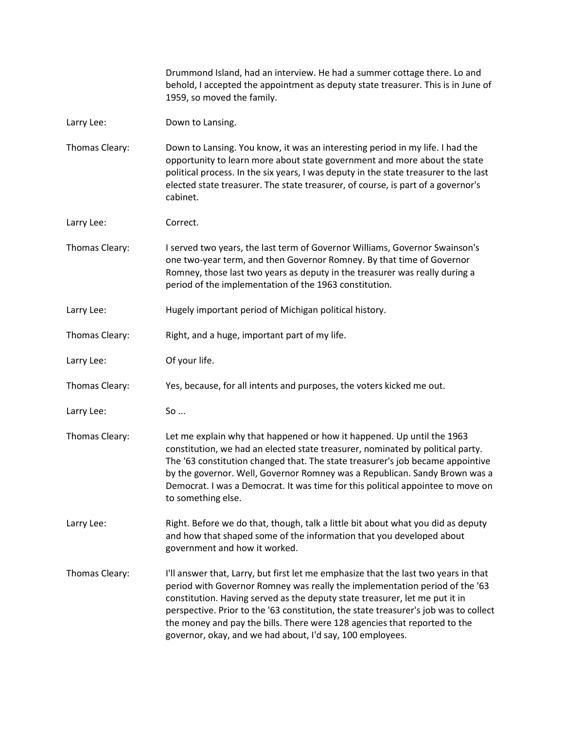Drummond Island, had an interview. He had a summer cottage there. Lo and behold, I accepted the appointment as deputy state treasurer. This is in June of 1959, so moved the family.

- Larry Lee: Down to Lansing.
- Thomas Cleary: Down to Lansing. You know, it was an interesting period in my life. I had the opportunity to learn more about state government and more about the state political process. In the six years, I was deputy in the state treasurer to the last elected state treasurer. The state treasurer, of course, is part of a governor's cabinet.
- Larry Lee: Correct.
- Thomas Cleary: I served two years, the last term of Governor Williams, Governor Swainson's one two-year term, and then Governor Romney. By that time of Governor Romney, those last two years as deputy in the treasurer was really during a period of the implementation of the 1963 constitution.
- Larry Lee: Hugely important period of Michigan political history.
- Thomas Cleary: Right, and a huge, important part of my life.
- Larry Lee: Of your life.
- Thomas Cleary: Yes, because, for all intents and purposes, the voters kicked me out.
- Larry Lee: So ...
- Thomas Cleary: Let me explain why that happened or how it happened. Up until the 1963 constitution, we had an elected state treasurer, nominated by political party. The '63 constitution changed that. The state treasurer's job became appointive by the governor. Well, Governor Romney was a Republican. Sandy Brown was a Democrat. I was a Democrat. It was time for this political appointee to move on to something else.
- Larry Lee: Right. Before we do that, though, talk a little bit about what you did as deputy and how that shaped some of the information that you developed about government and how it worked.
- Thomas Cleary: I'll answer that, Larry, but first let me emphasize that the last two years in that period with Governor Romney was really the implementation period of the '63 constitution. Having served as the deputy state treasurer, let me put it in perspective. Prior to the '63 constitution, the state treasurer's job was to collect the money and pay the bills. There were 128 agencies that reported to the governor, okay, and we had about, I'd say, 100 employees.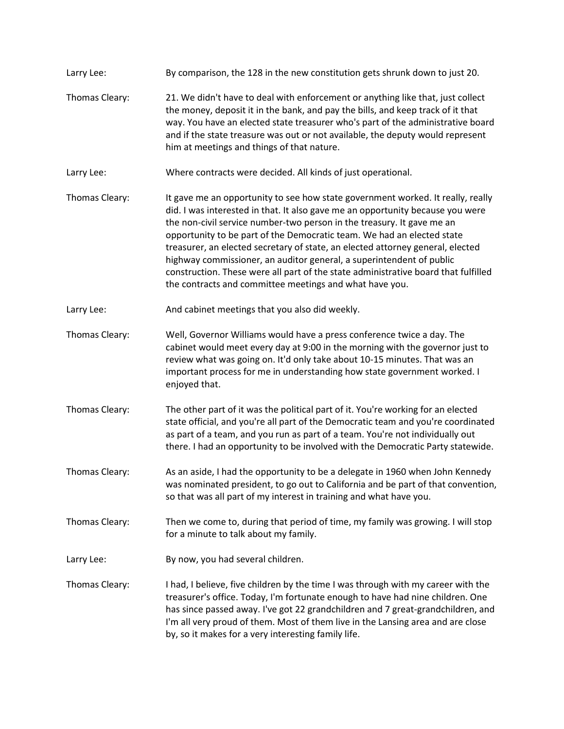Larry Lee: By comparison, the 128 in the new constitution gets shrunk down to just 20. Thomas Cleary: 21. We didn't have to deal with enforcement or anything like that, just collect the money, deposit it in the bank, and pay the bills, and keep track of it that way. You have an elected state treasurer who's part of the administrative board and if the state treasure was out or not available, the deputy would represent him at meetings and things of that nature. Larry Lee: Where contracts were decided. All kinds of just operational. Thomas Cleary: It gave me an opportunity to see how state government worked. It really, really did. I was interested in that. It also gave me an opportunity because you were the non-civil service number-two person in the treasury. It gave me an opportunity to be part of the Democratic team. We had an elected state treasurer, an elected secretary of state, an elected attorney general, elected highway commissioner, an auditor general, a superintendent of public construction. These were all part of the state administrative board that fulfilled the contracts and committee meetings and what have you. Larry Lee: And cabinet meetings that you also did weekly. Thomas Cleary: Well, Governor Williams would have a press conference twice a day. The cabinet would meet every day at 9:00 in the morning with the governor just to review what was going on. It'd only take about 10-15 minutes. That was an important process for me in understanding how state government worked. I enjoyed that. Thomas Cleary: The other part of it was the political part of it. You're working for an elected state official, and you're all part of the Democratic team and you're coordinated as part of a team, and you run as part of a team. You're not individually out there. I had an opportunity to be involved with the Democratic Party statewide. Thomas Cleary: As an aside, I had the opportunity to be a delegate in 1960 when John Kennedy was nominated president, to go out to California and be part of that convention, so that was all part of my interest in training and what have you. Thomas Cleary: Then we come to, during that period of time, my family was growing. I will stop for a minute to talk about my family. Larry Lee: By now, you had several children. Thomas Cleary: I had, I believe, five children by the time I was through with my career with the treasurer's office. Today, I'm fortunate enough to have had nine children. One has since passed away. I've got 22 grandchildren and 7 great-grandchildren, and I'm all very proud of them. Most of them live in the Lansing area and are close by, so it makes for a very interesting family life.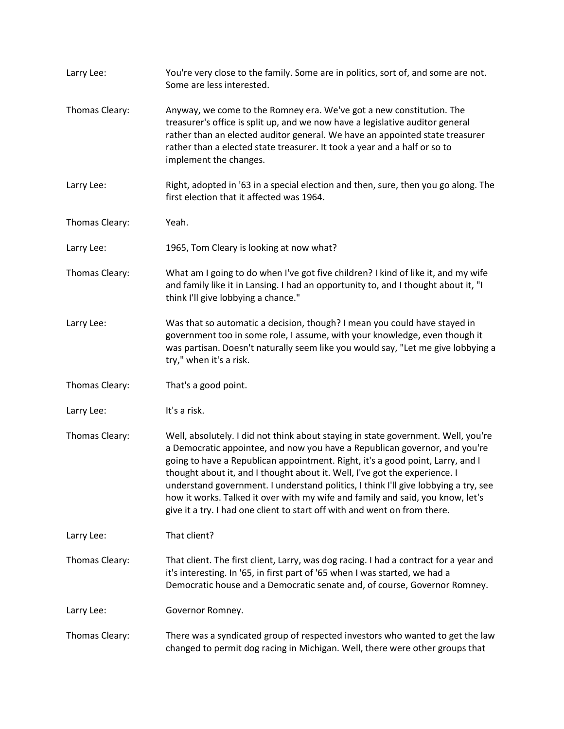| Larry Lee:     | You're very close to the family. Some are in politics, sort of, and some are not.<br>Some are less interested.                                                                                                                                                                                                                                                                                                                                                                                                                                                                        |
|----------------|---------------------------------------------------------------------------------------------------------------------------------------------------------------------------------------------------------------------------------------------------------------------------------------------------------------------------------------------------------------------------------------------------------------------------------------------------------------------------------------------------------------------------------------------------------------------------------------|
| Thomas Cleary: | Anyway, we come to the Romney era. We've got a new constitution. The<br>treasurer's office is split up, and we now have a legislative auditor general<br>rather than an elected auditor general. We have an appointed state treasurer<br>rather than a elected state treasurer. It took a year and a half or so to<br>implement the changes.                                                                                                                                                                                                                                          |
| Larry Lee:     | Right, adopted in '63 in a special election and then, sure, then you go along. The<br>first election that it affected was 1964.                                                                                                                                                                                                                                                                                                                                                                                                                                                       |
| Thomas Cleary: | Yeah.                                                                                                                                                                                                                                                                                                                                                                                                                                                                                                                                                                                 |
| Larry Lee:     | 1965, Tom Cleary is looking at now what?                                                                                                                                                                                                                                                                                                                                                                                                                                                                                                                                              |
| Thomas Cleary: | What am I going to do when I've got five children? I kind of like it, and my wife<br>and family like it in Lansing. I had an opportunity to, and I thought about it, "I<br>think I'll give lobbying a chance."                                                                                                                                                                                                                                                                                                                                                                        |
| Larry Lee:     | Was that so automatic a decision, though? I mean you could have stayed in<br>government too in some role, I assume, with your knowledge, even though it<br>was partisan. Doesn't naturally seem like you would say, "Let me give lobbying a<br>try," when it's a risk.                                                                                                                                                                                                                                                                                                                |
| Thomas Cleary: | That's a good point.                                                                                                                                                                                                                                                                                                                                                                                                                                                                                                                                                                  |
| Larry Lee:     | It's a risk.                                                                                                                                                                                                                                                                                                                                                                                                                                                                                                                                                                          |
| Thomas Cleary: | Well, absolutely. I did not think about staying in state government. Well, you're<br>a Democratic appointee, and now you have a Republican governor, and you're<br>going to have a Republican appointment. Right, it's a good point, Larry, and I<br>thought about it, and I thought about it. Well, I've got the experience. I<br>understand government. I understand politics, I think I'll give lobbying a try, see<br>how it works. Talked it over with my wife and family and said, you know, let's<br>give it a try. I had one client to start off with and went on from there. |
| Larry Lee:     | That client?                                                                                                                                                                                                                                                                                                                                                                                                                                                                                                                                                                          |
| Thomas Cleary: | That client. The first client, Larry, was dog racing. I had a contract for a year and<br>it's interesting. In '65, in first part of '65 when I was started, we had a<br>Democratic house and a Democratic senate and, of course, Governor Romney.                                                                                                                                                                                                                                                                                                                                     |
| Larry Lee:     | Governor Romney.                                                                                                                                                                                                                                                                                                                                                                                                                                                                                                                                                                      |
| Thomas Cleary: | There was a syndicated group of respected investors who wanted to get the law<br>changed to permit dog racing in Michigan. Well, there were other groups that                                                                                                                                                                                                                                                                                                                                                                                                                         |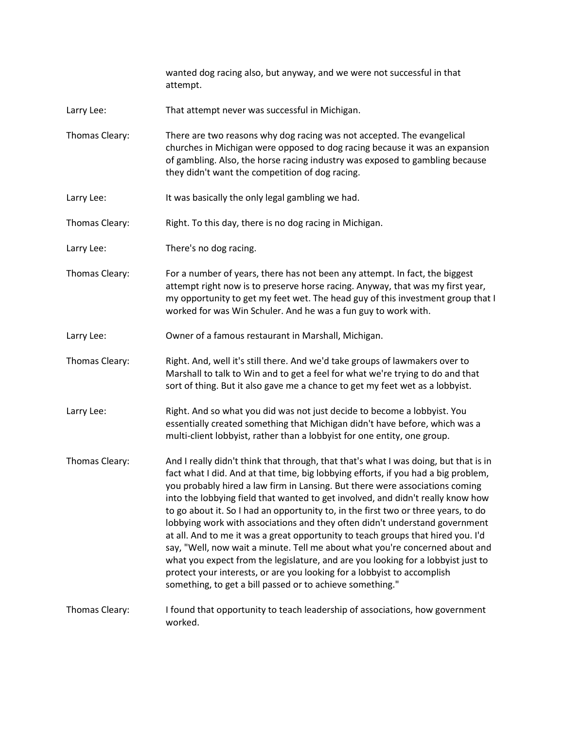wanted dog racing also, but anyway, and we were not successful in that attempt.

- Larry Lee: That attempt never was successful in Michigan.
- Thomas Cleary: There are two reasons why dog racing was not accepted. The evangelical churches in Michigan were opposed to dog racing because it was an expansion of gambling. Also, the horse racing industry was exposed to gambling because they didn't want the competition of dog racing.
- Larry Lee: It was basically the only legal gambling we had.
- Thomas Cleary: Right. To this day, there is no dog racing in Michigan.
- Larry Lee: There's no dog racing.
- Thomas Cleary: For a number of years, there has not been any attempt. In fact, the biggest attempt right now is to preserve horse racing. Anyway, that was my first year, my opportunity to get my feet wet. The head guy of this investment group that I worked for was Win Schuler. And he was a fun guy to work with.
- Larry Lee: Owner of a famous restaurant in Marshall, Michigan.
- Thomas Cleary: Right. And, well it's still there. And we'd take groups of lawmakers over to Marshall to talk to Win and to get a feel for what we're trying to do and that sort of thing. But it also gave me a chance to get my feet wet as a lobbyist.
- Larry Lee: Right. And so what you did was not just decide to become a lobbyist. You essentially created something that Michigan didn't have before, which was a multi-client lobbyist, rather than a lobbyist for one entity, one group.
- Thomas Cleary: And I really didn't think that through, that that's what I was doing, but that is in fact what I did. And at that time, big lobbying efforts, if you had a big problem, you probably hired a law firm in Lansing. But there were associations coming into the lobbying field that wanted to get involved, and didn't really know how to go about it. So I had an opportunity to, in the first two or three years, to do lobbying work with associations and they often didn't understand government at all. And to me it was a great opportunity to teach groups that hired you. I'd say, "Well, now wait a minute. Tell me about what you're concerned about and what you expect from the legislature, and are you looking for a lobbyist just to protect your interests, or are you looking for a lobbyist to accomplish something, to get a bill passed or to achieve something."
- Thomas Cleary: I found that opportunity to teach leadership of associations, how government worked.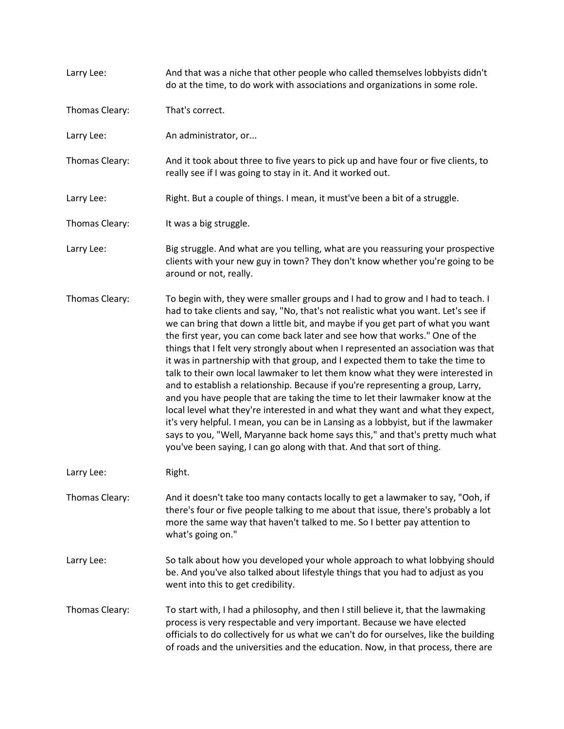| Larry Lee:     | And that was a niche that other people who called themselves lobbyists didn't<br>do at the time, to do work with associations and organizations in some role.                                                                                                                                                                                                                                                                                                                                                                                                                                                                                                                                                                                                                                                                                                                                                                                                                                                                                                                                              |
|----------------|------------------------------------------------------------------------------------------------------------------------------------------------------------------------------------------------------------------------------------------------------------------------------------------------------------------------------------------------------------------------------------------------------------------------------------------------------------------------------------------------------------------------------------------------------------------------------------------------------------------------------------------------------------------------------------------------------------------------------------------------------------------------------------------------------------------------------------------------------------------------------------------------------------------------------------------------------------------------------------------------------------------------------------------------------------------------------------------------------------|
| Thomas Cleary: | That's correct.                                                                                                                                                                                                                                                                                                                                                                                                                                                                                                                                                                                                                                                                                                                                                                                                                                                                                                                                                                                                                                                                                            |
| Larry Lee:     | An administrator, or                                                                                                                                                                                                                                                                                                                                                                                                                                                                                                                                                                                                                                                                                                                                                                                                                                                                                                                                                                                                                                                                                       |
| Thomas Cleary: | And it took about three to five years to pick up and have four or five clients, to<br>really see if I was going to stay in it. And it worked out.                                                                                                                                                                                                                                                                                                                                                                                                                                                                                                                                                                                                                                                                                                                                                                                                                                                                                                                                                          |
| Larry Lee:     | Right. But a couple of things. I mean, it must've been a bit of a struggle.                                                                                                                                                                                                                                                                                                                                                                                                                                                                                                                                                                                                                                                                                                                                                                                                                                                                                                                                                                                                                                |
| Thomas Cleary: | It was a big struggle.                                                                                                                                                                                                                                                                                                                                                                                                                                                                                                                                                                                                                                                                                                                                                                                                                                                                                                                                                                                                                                                                                     |
| Larry Lee:     | Big struggle. And what are you telling, what are you reassuring your prospective<br>clients with your new guy in town? They don't know whether you're going to be<br>around or not, really.                                                                                                                                                                                                                                                                                                                                                                                                                                                                                                                                                                                                                                                                                                                                                                                                                                                                                                                |
| Thomas Cleary: | To begin with, they were smaller groups and I had to grow and I had to teach. I<br>had to take clients and say, "No, that's not realistic what you want. Let's see if<br>we can bring that down a little bit, and maybe if you get part of what you want<br>the first year, you can come back later and see how that works." One of the<br>things that I felt very strongly about when I represented an association was that<br>it was in partnership with that group, and I expected them to take the time to<br>talk to their own local lawmaker to let them know what they were interested in<br>and to establish a relationship. Because if you're representing a group, Larry,<br>and you have people that are taking the time to let their lawmaker know at the<br>local level what they're interested in and what they want and what they expect,<br>it's very helpful. I mean, you can be in Lansing as a lobbyist, but if the lawmaker<br>says to you, "Well, Maryanne back home says this," and that's pretty much what<br>you've been saying, I can go along with that. And that sort of thing. |
| Larry Lee:     | Right.                                                                                                                                                                                                                                                                                                                                                                                                                                                                                                                                                                                                                                                                                                                                                                                                                                                                                                                                                                                                                                                                                                     |
| Thomas Cleary: | And it doesn't take too many contacts locally to get a lawmaker to say, "Ooh, if<br>there's four or five people talking to me about that issue, there's probably a lot<br>more the same way that haven't talked to me. So I better pay attention to<br>what's going on."                                                                                                                                                                                                                                                                                                                                                                                                                                                                                                                                                                                                                                                                                                                                                                                                                                   |
| Larry Lee:     | So talk about how you developed your whole approach to what lobbying should<br>be. And you've also talked about lifestyle things that you had to adjust as you<br>went into this to get credibility.                                                                                                                                                                                                                                                                                                                                                                                                                                                                                                                                                                                                                                                                                                                                                                                                                                                                                                       |
| Thomas Cleary: | To start with, I had a philosophy, and then I still believe it, that the lawmaking<br>process is very respectable and very important. Because we have elected<br>officials to do collectively for us what we can't do for ourselves, like the building<br>of roads and the universities and the education. Now, in that process, there are                                                                                                                                                                                                                                                                                                                                                                                                                                                                                                                                                                                                                                                                                                                                                                 |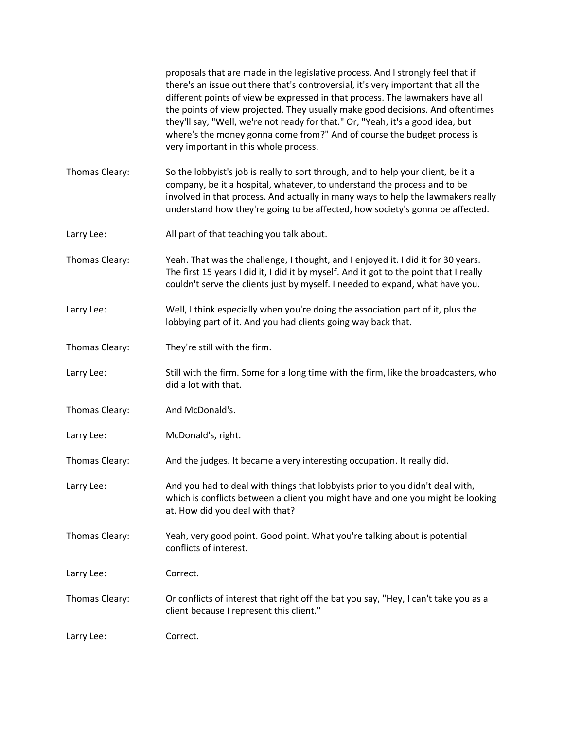|                | proposals that are made in the legislative process. And I strongly feel that if<br>there's an issue out there that's controversial, it's very important that all the<br>different points of view be expressed in that process. The lawmakers have all<br>the points of view projected. They usually make good decisions. And oftentimes<br>they'll say, "Well, we're not ready for that." Or, "Yeah, it's a good idea, but<br>where's the money gonna come from?" And of course the budget process is<br>very important in this whole process. |
|----------------|------------------------------------------------------------------------------------------------------------------------------------------------------------------------------------------------------------------------------------------------------------------------------------------------------------------------------------------------------------------------------------------------------------------------------------------------------------------------------------------------------------------------------------------------|
| Thomas Cleary: | So the lobbyist's job is really to sort through, and to help your client, be it a<br>company, be it a hospital, whatever, to understand the process and to be<br>involved in that process. And actually in many ways to help the lawmakers really<br>understand how they're going to be affected, how society's gonna be affected.                                                                                                                                                                                                             |
| Larry Lee:     | All part of that teaching you talk about.                                                                                                                                                                                                                                                                                                                                                                                                                                                                                                      |
| Thomas Cleary: | Yeah. That was the challenge, I thought, and I enjoyed it. I did it for 30 years.<br>The first 15 years I did it, I did it by myself. And it got to the point that I really<br>couldn't serve the clients just by myself. I needed to expand, what have you.                                                                                                                                                                                                                                                                                   |
| Larry Lee:     | Well, I think especially when you're doing the association part of it, plus the<br>lobbying part of it. And you had clients going way back that.                                                                                                                                                                                                                                                                                                                                                                                               |
| Thomas Cleary: | They're still with the firm.                                                                                                                                                                                                                                                                                                                                                                                                                                                                                                                   |
| Larry Lee:     | Still with the firm. Some for a long time with the firm, like the broadcasters, who<br>did a lot with that.                                                                                                                                                                                                                                                                                                                                                                                                                                    |
| Thomas Cleary: | And McDonald's.                                                                                                                                                                                                                                                                                                                                                                                                                                                                                                                                |
| Larry Lee:     | McDonald's, right.                                                                                                                                                                                                                                                                                                                                                                                                                                                                                                                             |
| Thomas Cleary: | And the judges. It became a very interesting occupation. It really did.                                                                                                                                                                                                                                                                                                                                                                                                                                                                        |
| Larry Lee:     | And you had to deal with things that lobbyists prior to you didn't deal with,<br>which is conflicts between a client you might have and one you might be looking<br>at. How did you deal with that?                                                                                                                                                                                                                                                                                                                                            |
| Thomas Cleary: | Yeah, very good point. Good point. What you're talking about is potential<br>conflicts of interest.                                                                                                                                                                                                                                                                                                                                                                                                                                            |
| Larry Lee:     | Correct.                                                                                                                                                                                                                                                                                                                                                                                                                                                                                                                                       |
| Thomas Cleary: | Or conflicts of interest that right off the bat you say, "Hey, I can't take you as a<br>client because I represent this client."                                                                                                                                                                                                                                                                                                                                                                                                               |
| Larry Lee:     | Correct.                                                                                                                                                                                                                                                                                                                                                                                                                                                                                                                                       |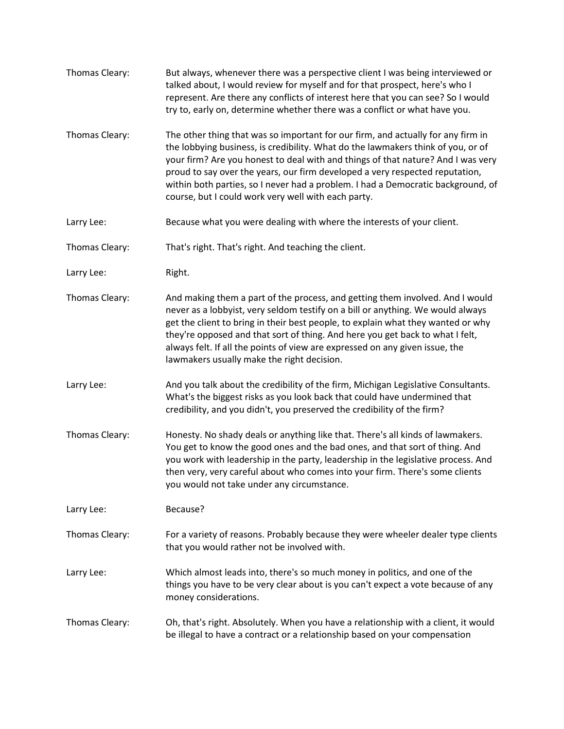| Thomas Cleary: | But always, whenever there was a perspective client I was being interviewed or<br>talked about, I would review for myself and for that prospect, here's who I<br>represent. Are there any conflicts of interest here that you can see? So I would<br>try to, early on, determine whether there was a conflict or what have you.                                                                                                                                                     |
|----------------|-------------------------------------------------------------------------------------------------------------------------------------------------------------------------------------------------------------------------------------------------------------------------------------------------------------------------------------------------------------------------------------------------------------------------------------------------------------------------------------|
| Thomas Cleary: | The other thing that was so important for our firm, and actually for any firm in<br>the lobbying business, is credibility. What do the lawmakers think of you, or of<br>your firm? Are you honest to deal with and things of that nature? And I was very<br>proud to say over the years, our firm developed a very respected reputation,<br>within both parties, so I never had a problem. I had a Democratic background, of<br>course, but I could work very well with each party. |
| Larry Lee:     | Because what you were dealing with where the interests of your client.                                                                                                                                                                                                                                                                                                                                                                                                              |
| Thomas Cleary: | That's right. That's right. And teaching the client.                                                                                                                                                                                                                                                                                                                                                                                                                                |
| Larry Lee:     | Right.                                                                                                                                                                                                                                                                                                                                                                                                                                                                              |
| Thomas Cleary: | And making them a part of the process, and getting them involved. And I would<br>never as a lobbyist, very seldom testify on a bill or anything. We would always<br>get the client to bring in their best people, to explain what they wanted or why<br>they're opposed and that sort of thing. And here you get back to what I felt,<br>always felt. If all the points of view are expressed on any given issue, the<br>lawmakers usually make the right decision.                 |
| Larry Lee:     | And you talk about the credibility of the firm, Michigan Legislative Consultants.<br>What's the biggest risks as you look back that could have undermined that<br>credibility, and you didn't, you preserved the credibility of the firm?                                                                                                                                                                                                                                           |
| Thomas Cleary: | Honesty. No shady deals or anything like that. There's all kinds of lawmakers.<br>You get to know the good ones and the bad ones, and that sort of thing. And<br>you work with leadership in the party, leadership in the legislative process. And<br>then very, very careful about who comes into your firm. There's some clients<br>you would not take under any circumstance.                                                                                                    |
| Larry Lee:     | Because?                                                                                                                                                                                                                                                                                                                                                                                                                                                                            |
| Thomas Cleary: | For a variety of reasons. Probably because they were wheeler dealer type clients<br>that you would rather not be involved with.                                                                                                                                                                                                                                                                                                                                                     |
| Larry Lee:     | Which almost leads into, there's so much money in politics, and one of the<br>things you have to be very clear about is you can't expect a vote because of any<br>money considerations.                                                                                                                                                                                                                                                                                             |
| Thomas Cleary: | Oh, that's right. Absolutely. When you have a relationship with a client, it would<br>be illegal to have a contract or a relationship based on your compensation                                                                                                                                                                                                                                                                                                                    |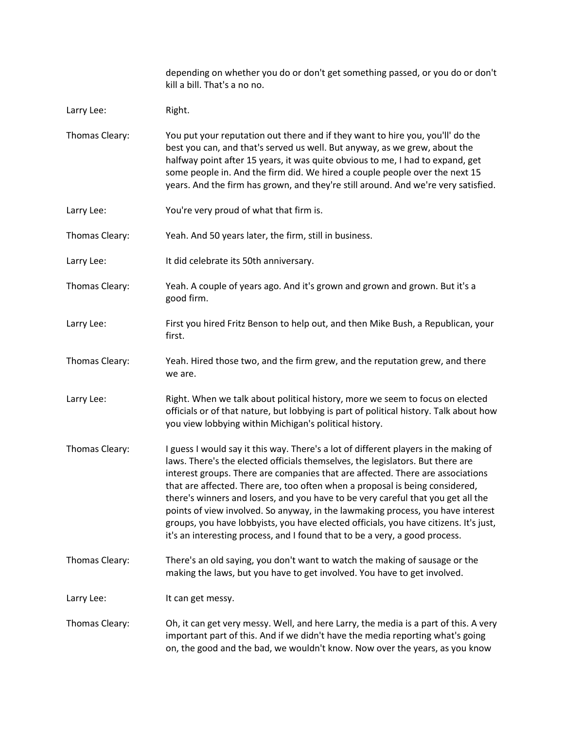|                | depending on whether you do or don't get something passed, or you do or don't<br>kill a bill. That's a no no.                                                                                                                                                                                                                                                                                                                                                                                                                                                                                                                                                                           |
|----------------|-----------------------------------------------------------------------------------------------------------------------------------------------------------------------------------------------------------------------------------------------------------------------------------------------------------------------------------------------------------------------------------------------------------------------------------------------------------------------------------------------------------------------------------------------------------------------------------------------------------------------------------------------------------------------------------------|
| Larry Lee:     | Right.                                                                                                                                                                                                                                                                                                                                                                                                                                                                                                                                                                                                                                                                                  |
| Thomas Cleary: | You put your reputation out there and if they want to hire you, you'll' do the<br>best you can, and that's served us well. But anyway, as we grew, about the<br>halfway point after 15 years, it was quite obvious to me, I had to expand, get<br>some people in. And the firm did. We hired a couple people over the next 15<br>years. And the firm has grown, and they're still around. And we're very satisfied.                                                                                                                                                                                                                                                                     |
| Larry Lee:     | You're very proud of what that firm is.                                                                                                                                                                                                                                                                                                                                                                                                                                                                                                                                                                                                                                                 |
| Thomas Cleary: | Yeah. And 50 years later, the firm, still in business.                                                                                                                                                                                                                                                                                                                                                                                                                                                                                                                                                                                                                                  |
| Larry Lee:     | It did celebrate its 50th anniversary.                                                                                                                                                                                                                                                                                                                                                                                                                                                                                                                                                                                                                                                  |
| Thomas Cleary: | Yeah. A couple of years ago. And it's grown and grown and grown. But it's a<br>good firm.                                                                                                                                                                                                                                                                                                                                                                                                                                                                                                                                                                                               |
| Larry Lee:     | First you hired Fritz Benson to help out, and then Mike Bush, a Republican, your<br>first.                                                                                                                                                                                                                                                                                                                                                                                                                                                                                                                                                                                              |
| Thomas Cleary: | Yeah. Hired those two, and the firm grew, and the reputation grew, and there<br>we are.                                                                                                                                                                                                                                                                                                                                                                                                                                                                                                                                                                                                 |
| Larry Lee:     | Right. When we talk about political history, more we seem to focus on elected<br>officials or of that nature, but lobbying is part of political history. Talk about how<br>you view lobbying within Michigan's political history.                                                                                                                                                                                                                                                                                                                                                                                                                                                       |
| Thomas Cleary: | I guess I would say it this way. There's a lot of different players in the making of<br>laws. There's the elected officials themselves, the legislators. But there are<br>interest groups. There are companies that are affected. There are associations<br>that are affected. There are, too often when a proposal is being considered,<br>there's winners and losers, and you have to be very careful that you get all the<br>points of view involved. So anyway, in the lawmaking process, you have interest<br>groups, you have lobbyists, you have elected officials, you have citizens. It's just,<br>it's an interesting process, and I found that to be a very, a good process. |
| Thomas Cleary: | There's an old saying, you don't want to watch the making of sausage or the<br>making the laws, but you have to get involved. You have to get involved.                                                                                                                                                                                                                                                                                                                                                                                                                                                                                                                                 |
| Larry Lee:     | It can get messy.                                                                                                                                                                                                                                                                                                                                                                                                                                                                                                                                                                                                                                                                       |
| Thomas Cleary: | Oh, it can get very messy. Well, and here Larry, the media is a part of this. A very<br>important part of this. And if we didn't have the media reporting what's going<br>on, the good and the bad, we wouldn't know. Now over the years, as you know                                                                                                                                                                                                                                                                                                                                                                                                                                   |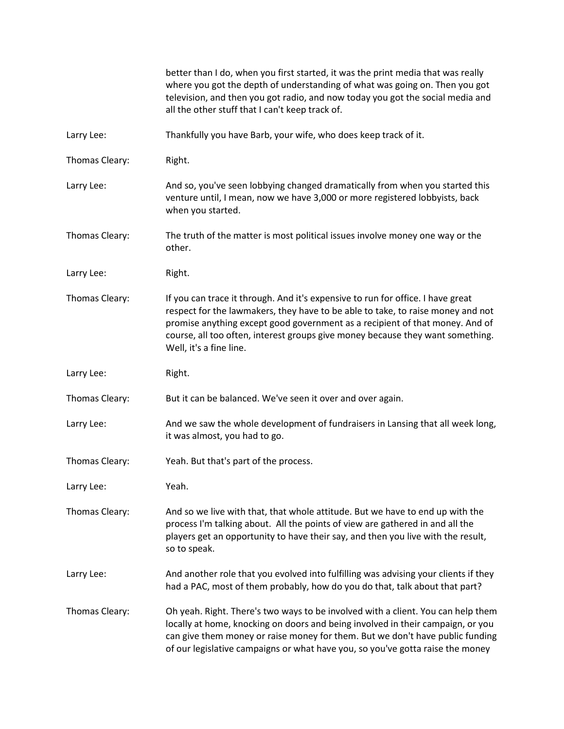|                | better than I do, when you first started, it was the print media that was really<br>where you got the depth of understanding of what was going on. Then you got<br>television, and then you got radio, and now today you got the social media and<br>all the other stuff that I can't keep track of.                                                            |
|----------------|-----------------------------------------------------------------------------------------------------------------------------------------------------------------------------------------------------------------------------------------------------------------------------------------------------------------------------------------------------------------|
| Larry Lee:     | Thankfully you have Barb, your wife, who does keep track of it.                                                                                                                                                                                                                                                                                                 |
| Thomas Cleary: | Right.                                                                                                                                                                                                                                                                                                                                                          |
| Larry Lee:     | And so, you've seen lobbying changed dramatically from when you started this<br>venture until, I mean, now we have 3,000 or more registered lobbyists, back<br>when you started.                                                                                                                                                                                |
| Thomas Cleary: | The truth of the matter is most political issues involve money one way or the<br>other.                                                                                                                                                                                                                                                                         |
| Larry Lee:     | Right.                                                                                                                                                                                                                                                                                                                                                          |
| Thomas Cleary: | If you can trace it through. And it's expensive to run for office. I have great<br>respect for the lawmakers, they have to be able to take, to raise money and not<br>promise anything except good government as a recipient of that money. And of<br>course, all too often, interest groups give money because they want something.<br>Well, it's a fine line. |
| Larry Lee:     | Right.                                                                                                                                                                                                                                                                                                                                                          |
| Thomas Cleary: | But it can be balanced. We've seen it over and over again.                                                                                                                                                                                                                                                                                                      |
| Larry Lee:     | And we saw the whole development of fundraisers in Lansing that all week long,<br>it was almost, you had to go.                                                                                                                                                                                                                                                 |
| Thomas Cleary: | Yeah. But that's part of the process.                                                                                                                                                                                                                                                                                                                           |
| Larry Lee:     | Yeah.                                                                                                                                                                                                                                                                                                                                                           |
| Thomas Cleary: | And so we live with that, that whole attitude. But we have to end up with the<br>process I'm talking about. All the points of view are gathered in and all the<br>players get an opportunity to have their say, and then you live with the result,<br>so to speak.                                                                                              |
| Larry Lee:     | And another role that you evolved into fulfilling was advising your clients if they<br>had a PAC, most of them probably, how do you do that, talk about that part?                                                                                                                                                                                              |
| Thomas Cleary: | Oh yeah. Right. There's two ways to be involved with a client. You can help them<br>locally at home, knocking on doors and being involved in their campaign, or you<br>can give them money or raise money for them. But we don't have public funding<br>of our legislative campaigns or what have you, so you've gotta raise the money                          |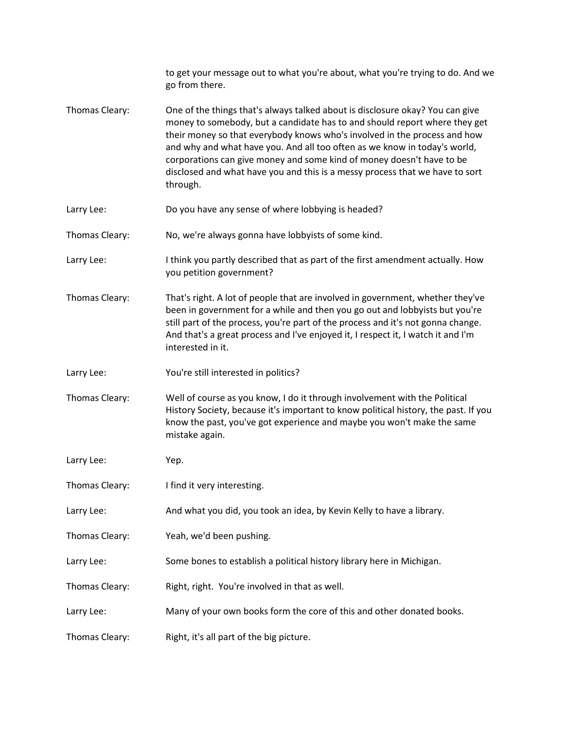|                | to get your message out to what you're about, what you're trying to do. And we<br>go from there.                                                                                                                                                                                                                                                                                                                                                                                           |
|----------------|--------------------------------------------------------------------------------------------------------------------------------------------------------------------------------------------------------------------------------------------------------------------------------------------------------------------------------------------------------------------------------------------------------------------------------------------------------------------------------------------|
| Thomas Cleary: | One of the things that's always talked about is disclosure okay? You can give<br>money to somebody, but a candidate has to and should report where they get<br>their money so that everybody knows who's involved in the process and how<br>and why and what have you. And all too often as we know in today's world,<br>corporations can give money and some kind of money doesn't have to be<br>disclosed and what have you and this is a messy process that we have to sort<br>through. |
| Larry Lee:     | Do you have any sense of where lobbying is headed?                                                                                                                                                                                                                                                                                                                                                                                                                                         |
| Thomas Cleary: | No, we're always gonna have lobbyists of some kind.                                                                                                                                                                                                                                                                                                                                                                                                                                        |
| Larry Lee:     | I think you partly described that as part of the first amendment actually. How<br>you petition government?                                                                                                                                                                                                                                                                                                                                                                                 |
| Thomas Cleary: | That's right. A lot of people that are involved in government, whether they've<br>been in government for a while and then you go out and lobbyists but you're<br>still part of the process, you're part of the process and it's not gonna change.<br>And that's a great process and I've enjoyed it, I respect it, I watch it and I'm<br>interested in it.                                                                                                                                 |
| Larry Lee:     | You're still interested in politics?                                                                                                                                                                                                                                                                                                                                                                                                                                                       |
| Thomas Cleary: | Well of course as you know, I do it through involvement with the Political<br>History Society, because it's important to know political history, the past. If you<br>know the past, you've got experience and maybe you won't make the same<br>mistake again.                                                                                                                                                                                                                              |
| Larry Lee:     | Yep.                                                                                                                                                                                                                                                                                                                                                                                                                                                                                       |
| Thomas Cleary: | I find it very interesting.                                                                                                                                                                                                                                                                                                                                                                                                                                                                |
| Larry Lee:     | And what you did, you took an idea, by Kevin Kelly to have a library.                                                                                                                                                                                                                                                                                                                                                                                                                      |
| Thomas Cleary: | Yeah, we'd been pushing.                                                                                                                                                                                                                                                                                                                                                                                                                                                                   |
| Larry Lee:     | Some bones to establish a political history library here in Michigan.                                                                                                                                                                                                                                                                                                                                                                                                                      |
| Thomas Cleary: | Right, right. You're involved in that as well.                                                                                                                                                                                                                                                                                                                                                                                                                                             |
| Larry Lee:     | Many of your own books form the core of this and other donated books.                                                                                                                                                                                                                                                                                                                                                                                                                      |
| Thomas Cleary: | Right, it's all part of the big picture.                                                                                                                                                                                                                                                                                                                                                                                                                                                   |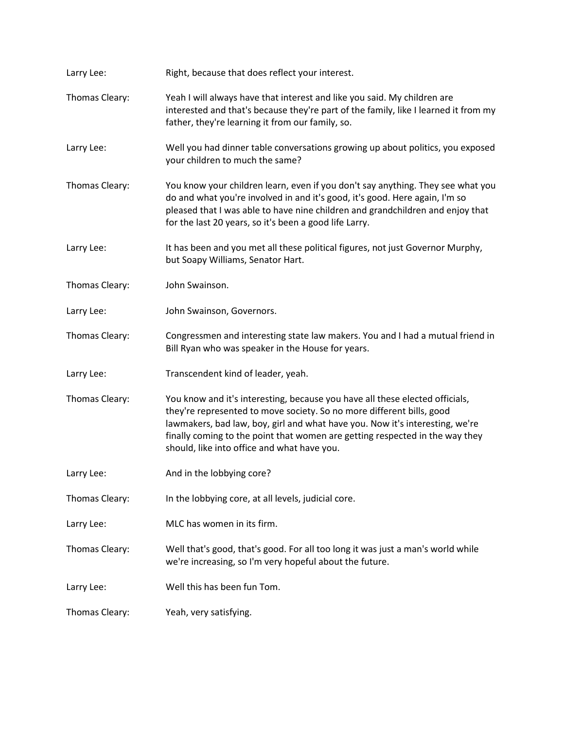| Larry Lee:     | Right, because that does reflect your interest.                                                                                                                                                                                                                                                                                                                      |
|----------------|----------------------------------------------------------------------------------------------------------------------------------------------------------------------------------------------------------------------------------------------------------------------------------------------------------------------------------------------------------------------|
| Thomas Cleary: | Yeah I will always have that interest and like you said. My children are<br>interested and that's because they're part of the family, like I learned it from my<br>father, they're learning it from our family, so.                                                                                                                                                  |
| Larry Lee:     | Well you had dinner table conversations growing up about politics, you exposed<br>your children to much the same?                                                                                                                                                                                                                                                    |
| Thomas Cleary: | You know your children learn, even if you don't say anything. They see what you<br>do and what you're involved in and it's good, it's good. Here again, I'm so<br>pleased that I was able to have nine children and grandchildren and enjoy that<br>for the last 20 years, so it's been a good life Larry.                                                           |
| Larry Lee:     | It has been and you met all these political figures, not just Governor Murphy,<br>but Soapy Williams, Senator Hart.                                                                                                                                                                                                                                                  |
| Thomas Cleary: | John Swainson.                                                                                                                                                                                                                                                                                                                                                       |
| Larry Lee:     | John Swainson, Governors.                                                                                                                                                                                                                                                                                                                                            |
| Thomas Cleary: | Congressmen and interesting state law makers. You and I had a mutual friend in<br>Bill Ryan who was speaker in the House for years.                                                                                                                                                                                                                                  |
| Larry Lee:     | Transcendent kind of leader, yeah.                                                                                                                                                                                                                                                                                                                                   |
| Thomas Cleary: | You know and it's interesting, because you have all these elected officials,<br>they're represented to move society. So no more different bills, good<br>lawmakers, bad law, boy, girl and what have you. Now it's interesting, we're<br>finally coming to the point that women are getting respected in the way they<br>should, like into office and what have you. |
| Larry Lee:     | And in the lobbying core?                                                                                                                                                                                                                                                                                                                                            |
| Thomas Cleary: | In the lobbying core, at all levels, judicial core.                                                                                                                                                                                                                                                                                                                  |
| Larry Lee:     | MLC has women in its firm.                                                                                                                                                                                                                                                                                                                                           |
| Thomas Cleary: | Well that's good, that's good. For all too long it was just a man's world while<br>we're increasing, so I'm very hopeful about the future.                                                                                                                                                                                                                           |
| Larry Lee:     | Well this has been fun Tom.                                                                                                                                                                                                                                                                                                                                          |
| Thomas Cleary: | Yeah, very satisfying.                                                                                                                                                                                                                                                                                                                                               |